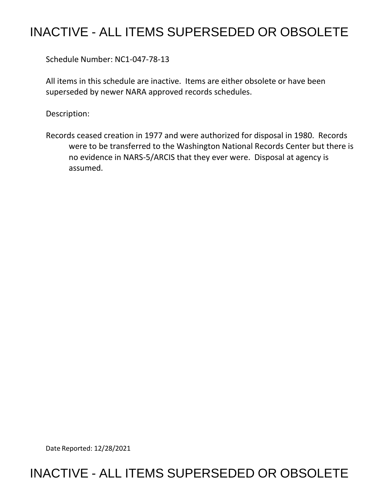## INACTIVE - ALL ITEMS SUPERSEDED OR OBSOLETE

Schedule Number: NC1-047-78-13

 All items in this schedule are inactive. Items are either obsolete or have been superseded by newer NARA approved records schedules.

Description:

 Records ceased creation in 1977 and were authorized for disposal in 1980. Records no evidence in NARS-5/ARCIS that they ever were. Disposal at agency is were to be transferred to the Washington National Records Center but there is assumed.

Date Reported: 12/28/2021

## INACTIVE - ALL ITEMS SUPERSEDED OR OBSOLETE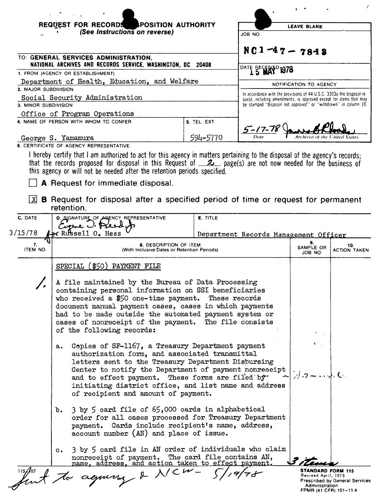|                                                                                                  | <b>POSITION AUTHORITY</b><br><b>REQUEST FOR RECORDS</b><br>(See Instructions on reverse)                                                                                                                                                                                                                                                                                   |               | JOB NO.                                                                                                                               | <b>LEAVE BLANK</b>     |                            |
|--------------------------------------------------------------------------------------------------|----------------------------------------------------------------------------------------------------------------------------------------------------------------------------------------------------------------------------------------------------------------------------------------------------------------------------------------------------------------------------|---------------|---------------------------------------------------------------------------------------------------------------------------------------|------------------------|----------------------------|
|                                                                                                  | TO: GENERAL SERVICES ADMINISTRATION,                                                                                                                                                                                                                                                                                                                                       |               | $NC1 - 47 - 78 - 8$                                                                                                                   |                        |                            |
| NATIONAL ARCHIVES AND RECORDS SERVICE, WASHINGTON, DC 20408<br>1. FROM (AGENCY OR ESTABLISHMENT) |                                                                                                                                                                                                                                                                                                                                                                            |               | DATE BECE<br>r' 1978                                                                                                                  |                        |                            |
|                                                                                                  | Department of Health, Education, and Welfare                                                                                                                                                                                                                                                                                                                               |               |                                                                                                                                       | NOTIFICATION TO AGENCY |                            |
| 2. MAJOR SUBDIVISION                                                                             | Social Security Administration                                                                                                                                                                                                                                                                                                                                             |               | In accordance with the provisions of 44 U.S.C. 3303a the disposal re-                                                                 |                        |                            |
| 3. MINOR SUBDIVISION                                                                             |                                                                                                                                                                                                                                                                                                                                                                            |               | quest, including amendments, is approved except for items that may<br>be stamped "disposal not approved" or "withdrawn" in column 10. |                        |                            |
|                                                                                                  | Office of Program Operations                                                                                                                                                                                                                                                                                                                                               |               |                                                                                                                                       |                        |                            |
|                                                                                                  | 4. NAME OF PERSON WITH WHOM TO CONFER                                                                                                                                                                                                                                                                                                                                      | 5. TEL. EXT.  |                                                                                                                                       |                        |                            |
| George S. Yamamura                                                                               |                                                                                                                                                                                                                                                                                                                                                                            | 594-5770      | $5 - 17 - 78$                                                                                                                         |                        |                            |
|                                                                                                  | 6. CERTIFICATE OF AGENCY REPRESENTATIVE:<br>I hereby certify that I am authorized to act for this agency in matters pertaining to the disposal of the agency's records;                                                                                                                                                                                                    |               |                                                                                                                                       |                        |                            |
| X                                                                                                | that the records proposed for disposal in this Request of $\mathcal{Z}_-$ page(s) are not now needed for the business of<br>this agency or will not be needed after the retention periods specified.<br>A Request for immediate disposal.<br><b>B</b> Request for disposal after a specified period of time or request for permanent                                       |               |                                                                                                                                       |                        |                            |
|                                                                                                  | retention.                                                                                                                                                                                                                                                                                                                                                                 |               |                                                                                                                                       |                        |                            |
| C. DATE                                                                                          | D. SIGNATURE OF AGENCY REPRESENTATIVE                                                                                                                                                                                                                                                                                                                                      | E. TITLE      |                                                                                                                                       |                        |                            |
| 3/15/78                                                                                          | Circue U. Pres<br>$\ltimes$ Russell $0$ . Hess                                                                                                                                                                                                                                                                                                                             |               | Department Records Management Officer                                                                                                 |                        |                            |
| 7.                                                                                               | 8. DESCRIPTION OF ITEM                                                                                                                                                                                                                                                                                                                                                     |               |                                                                                                                                       | 9.                     |                            |
| ITEM NO.                                                                                         | (With Inclusive Dates or Retention Periods)                                                                                                                                                                                                                                                                                                                                |               |                                                                                                                                       | SAMPLE OR<br>JOB NO.   | 10.<br><b>ACTION TAKEN</b> |
|                                                                                                  | SPECIAL (\$50) PAYMENT FILE                                                                                                                                                                                                                                                                                                                                                |               |                                                                                                                                       |                        |                            |
|                                                                                                  | A file maintained by the Bureau of Data Processing<br>containing personal information on SSI beneficiaries<br>who received a $$50$ one-time payment.<br>document manual payment cases, cases in which payments<br>had to be made outside the automated payment system or<br>cases of nonreceipt of the payment. The file consists<br>of the following records:             | These records |                                                                                                                                       |                        |                            |
|                                                                                                  | Copies of SF-1167, a Treasury Department payment<br>а.<br>authorization form, and associated transmittal<br>letters sent to the Treasury Department Disbursing<br>Center to notify the Department of payment nonreceipt<br>and to effect payment. These forms are filed by<br>initiating district office, and list name and address<br>of recipient and amount of payment. |               |                                                                                                                                       | パワー いよし                |                            |
|                                                                                                  | b. 3 by 5 card file of 65,000 cards in alphabetical<br>order for all cases processed for Treasury Department<br>payment. Cards include recipient's name, address,<br>account number (AN) and place of issue.                                                                                                                                                               |               |                                                                                                                                       |                        |                            |
|                                                                                                  | 3 by 5 card file in AN order of individuals who claim<br>$\mathbf{c}$ .<br>nonreceipt of payment. The card file contains AN, name, address, and action taken to effect payment.                                                                                                                                                                                            |               |                                                                                                                                       |                        |                            |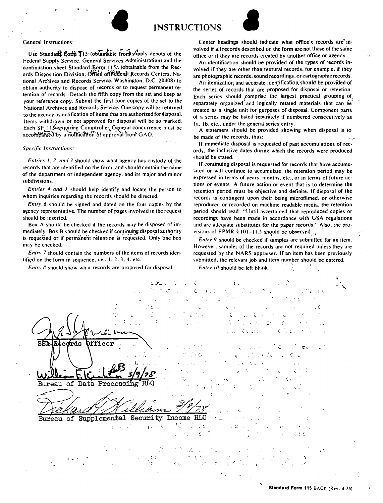

General Instructions:

Use Standard Horn T15 (obtainable from supply depots of the Federal Supply Service, General Services Administration) and the continuation sheet Standard Form 115a (obtainable from the Records Disposition Division. Office of Federal Records Centers, National Archives and Records Service, Washington, D.C. 20408) to obtain authority to dispose of records or to request permanent retention of records. Detach the fifth copy from the set and keep as your reference copy. Submit the first four copies of the set to the National Archives and Records Service. One copy will be returned to the agency as notification of items that are authorized for disposal. Items withdrawn or not approved for disposal will be so marked. Each SF 115 requiring Comptroller General concurrence must be accompanied by a notification of approval from GAO.

## **Specific Instructions:**

Entries  $1, 2$ , and  $3$  should show what agency has custody of the records that are identified on the form, and should contain the name of the department or independent agency, and its major and minor subdivisions.

Entries 4 and 5 should help identify and locate the person to whom inquiries regarding the records should be directed.

Entry 6 should be signed and dated on the four copies by the agency representative. The number of pages involved in the request should be inserted.

Box A should be checked if the records may be disposed of immediately. Box B should be checked if continuing disposal authority is requested or if permanent retention is requested. Only one box may be checked.

Entry 7 should contain the numbers of the items of records identified on the form in sequence, i.e., 1, 2, 3, 4, etc.

Entry 8 should show what records are proposed for disposal.

Center headings should indicate what office's records are'involved if all records described on the form are not those of the same office or if they are records created by another office or agency.

An identification should be provided of the types of records involved if they are other than textural records, for example, if they are photographic records, sound recordings, or cartographic records.

An itemization and accurate identification should be provided of the series of records that are proposed for disposal or retention. Each series should comprise the largest practical grouping of separately organized and logically retated materials that can be treated as a single unit for purposes of disposal. Component parts of a series may be listed separately if numbered consecutively as la, 1b, etc., under the general series entry.

A statement should be provided showing when disposal is to be made of the records, thus:

If immediate disposal is requested of past accumulations of records, the inclusive dates during which the records were produced should be stated.

If continuing disposal is requested for records that have accumulated or will continue to accumulate, the retention period may be expressed in terms of years. months, etc., or in terms of future actions or events. A future action or event that is to determine the retention period must be objective and definite. If disposal of the records is contingent upon their being microfilmed, or otherwise reproduced or recorded on machine readable media, the retention period should read: "Until ascertained that reproduced copies or recordings have been made in accordance with GSA regulations and are adequate substitutes for the paper records." Also, the provisions of FPMR  $§$  101-11.5 should be observed.

Entry 9 should be checked if samples are submitted for an item. However, samples of the records are not required unless they are requested by the NARS appraiser. If an item has been previously submitted, the relevant job and item number should be entered.

Entry 10 should be left blank.

 $\mathbf{f}$  $\epsilon$  $C_{\infty}$  $\cdot$  C fficer SSA frds Bureau of Da. Process Bureau of Supplemental Security Income RLO  $\ddot{\phantom{0}}$  $c \in r$  $\overline{\mathbf{C}}$  $\ddot{\cdot}$ てく <sup>1</sup>